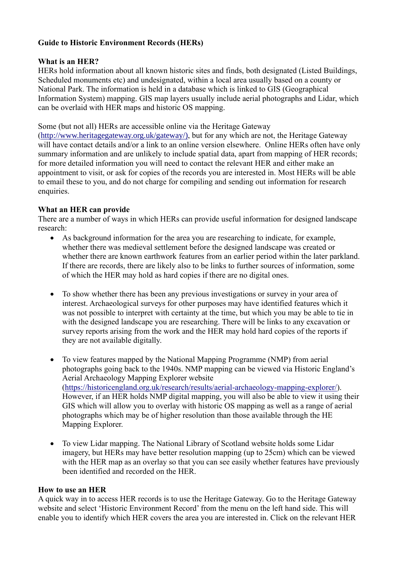## **Guide to Historic Environment Records (HERs)**

## **What is an HER?**

HERs hold information about all known historic sites and finds, both designated (Listed Buildings, Scheduled monuments etc) and undesignated, within a local area usually based on a county or National Park. The information is held in a database which is linked to GIS (Geographical Information System) mapping. GIS map layers usually include aerial photographs and Lidar, which can be overlaid with HER maps and historic OS mapping.

Some (but not all) HERs are accessible online via the Heritage Gateway

[\(http://www.heritagegateway.org.uk/gateway/\)](http://www.heritagegateway.org.uk/gateway/), but for any which are not, the Heritage Gateway will have contact details and/or a link to an online version elsewhere. Online HERs often have only summary information and are unlikely to include spatial data, apart from mapping of HER records; for more detailed information you will need to contact the relevant HER and either make an appointment to visit, or ask for copies of the records you are interested in. Most HERs will be able to email these to you, and do not charge for compiling and sending out information for research enquiries.

## **What an HER can provide**

There are a number of ways in which HERs can provide useful information for designed landscape research:

- As background information for the area you are researching to indicate, for example, whether there was medieval settlement before the designed landscape was created or whether there are known earthwork features from an earlier period within the later parkland. If there are records, there are likely also to be links to further sources of information, some of which the HER may hold as hard copies if there are no digital ones.
- To show whether there has been any previous investigations or survey in your area of interest. Archaeological surveys for other purposes may have identified features which it was not possible to interpret with certainty at the time, but which you may be able to tie in with the designed landscape you are researching. There will be links to any excavation or survey reports arising from the work and the HER may hold hard copies of the reports if they are not available digitally.
- To view features mapped by the National Mapping Programme (NMP) from aerial photographs going back to the 1940s. NMP mapping can be viewed via Historic England's Aerial Archaeology Mapping Explorer website [\(https://historicengland.org.uk/research/results/aerial-archaeology-mapping-explorer/\)](https://historicengland.org.uk/research/results/aerial-archaeology-mapping-explorer/). However, if an HER holds NMP digital mapping, you will also be able to view it using their GIS which will allow you to overlay with historic OS mapping as well as a range of aerial photographs which may be of higher resolution than those available through the HE Mapping Explorer.
- To view Lidar mapping. The National Library of Scotland website holds some Lidar imagery, but HERs may have better resolution mapping (up to 25cm) which can be viewed with the HER map as an overlay so that you can see easily whether features have previously been identified and recorded on the HER.

## **How to use an HER**

A quick way in to access HER records is to use the Heritage Gateway. Go to the Heritage Gateway website and select 'Historic Environment Record' from the menu on the left hand side. This will enable you to identify which HER covers the area you are interested in. Click on the relevant HER